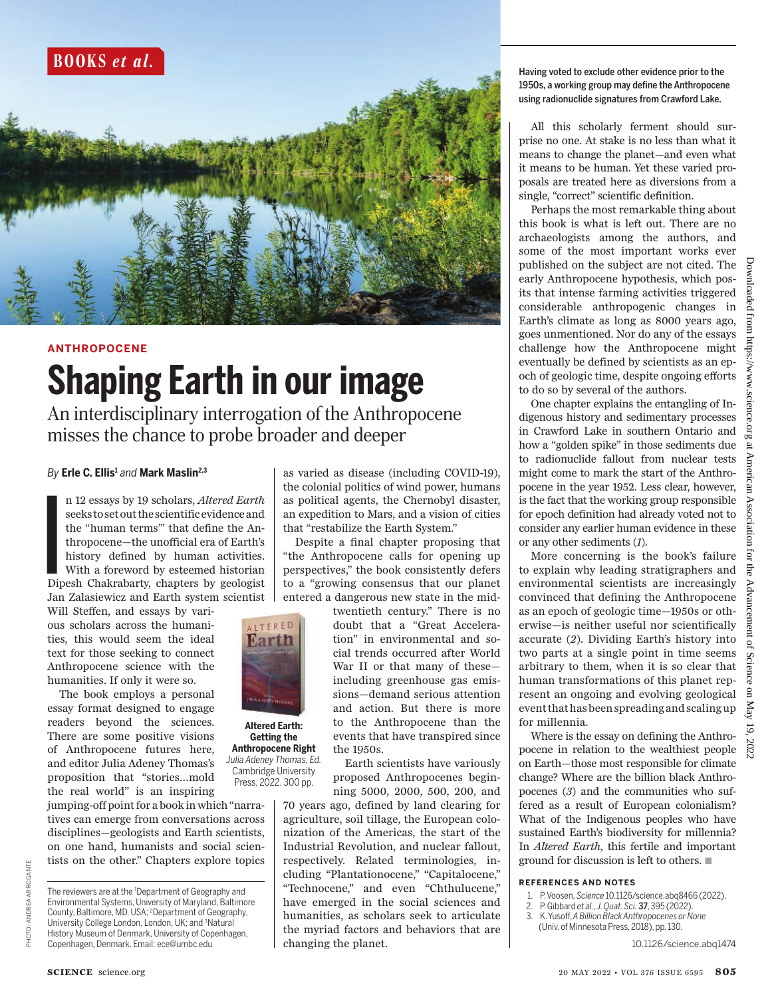

# **ANTHROPOCENE Shaping Earth in our image**

An interdisciplinary interrogation of the Anthropocene misses the chance to probe broader and deeper

> **Altered Earth: Getting the Anthropocene Right** *Julia Adeney Thomas, Ed.* Cambridge University Press, 2022. 300 pp.

ALTERED **Karth** 

## *By* **Erle C. Ellis<sup>1</sup>** *and* **Mark Maslin2,3**

I<br>I<br>I<br>I<br>I<br>I n 12 essays by 19 scholars, *Altered Earth* seeks to set out the scientific evidence and the "human terms"' that define the Anthropocene—the unofficial era of Earth's history defined by human activities. With a foreword by esteemed historian Dipesh Chakrabarty, chapters by geologist Jan Zalasiewicz and Earth system scientist

Will Steffen, and essays by various scholars across the humanities, this would seem the ideal text for those seeking to connect Anthropocene science with the humanities. If only it were so.

The book employs a personal essay format designed to engage readers beyond the sciences. There are some positive visions of Anthropocene futures here, and editor Julia Adeney Thomas's proposition that "stories…mold the real world" is an inspiring

jumping-off point for a book in which "narratives can emerge from conversations across disciplines—geologists and Earth scientists, on one hand, humanists and social scientists on the other." Chapters explore topics as varied as disease (including COVID-19), the colonial politics of wind power, humans as political agents, the Chernobyl disaster, an expedition to Mars, and a vision of cities that "restabilize the Earth System."

Despite a final chapter proposing that "the Anthropocene calls for opening up perspectives," the book consistently defers to a "growing consensus that our planet entered a dangerous new state in the mid-

> twentieth century." There is no doubt that a "Great Acceleration" in environmental and social trends occurred after World War II or that many of these including greenhouse gas emissions—demand serious attention and action. But there is more to the Anthropocene than the events that have transpired since the 1950s.

> Earth scientists have variously proposed Anthropocenes beginning 5000, 2000, 500, 200, and

70 years ago, defined by land clearing for agriculture, soil tillage, the European colonization of the Americas, the start of the Industrial Revolution, and nuclear fallout, respectively. Related terminologies, including "Plantationocene," "Capitalocene," "Technocene," and even "Chthulucene," have emerged in the social sciences and humanities, as scholars seek to articulate the myriad factors and behaviors that are changing the planet.

### Having voted to exclude other evidence prior to the 1950s, a working group may define the Anthropocene using radionuclide signatures from Crawford Lake.

All this scholarly ferment should surprise no one. At stake is no less than what it means to change the planet—and even what it means to be human. Yet these varied proposals are treated here as diversions from a single, "correct" scientific definition.

Perhaps the most remarkable thing about this book is what is left out. There are no archaeologists among the authors, and some of the most important works ever published on the subject are not cited. The early Anthropocene hypothesis, which posits that intense farming activities triggered considerable anthropogenic changes in Earth's climate as long as 8000 years ago, goes unmentioned. Nor do any of the essays challenge how the Anthropocene might eventually be defined by scientists as an epoch of geologic time, despite ongoing efforts to do so by several of the authors.

One chapter explains the entangling of Indigenous history and sedimentary processes in Crawford Lake in southern Ontario and how a "golden spike" in those sediments due to radionuclide fallout from nuclear tests might come to mark the start of the Anthropocene in the year 1952. Less clear, however, is the fact that the working group responsible for epoch definition had already voted not to consider any earlier human evidence in these or any other sediments (*1*).

More concerning is the book's failure to explain why leading stratigraphers and environmental scientists are increasingly convinced that defining the Anthropocene as an epoch of geologic time—1950s or otherwise—is neither useful nor scientifically accurate (*2*). Dividing Earth's history into two parts at a single point in time seems arbitrary to them, when it is so clear that human transformations of this planet represent an ongoing and evolving geological event that has been spreading and scaling up for millennia.

Where is the essay on defining the Anthropocene in relation to the wealthiest people on Earth—those most responsible for climate change? Where are the billion black Anthropocenes (*3*) and the communities who suffered as a result of European colonialism? What of the Indigenous peoples who have sustained Earth's biodiversity for millennia? In *Altered Earth*, this fertile and important ground for discussion is left to others.  $\blacksquare$ 

#### **REFERENCES AND NOTES**

- 1. P. Voosen, *Science* 10.1126/science.abq8466 (2022).
- 2. P. Gibbard *et al., J. Quat. Sci.* 37, 395 (2022).
- 3. K. Yusoff, *A Billion Black Anthropocenes or None* (Univ. of Minnesota Press, 2018), pp. 130.

10.1126/science.abq1474

ANDREAARROGANTE

**DLOHE** 

The reviewers are at the <sup>1</sup>Department of Geography and Environmental Systems, University of Maryland, Baltimore County, Baltimore, MD, USA; <sup>2</sup>Department of Geography, University College London, London, UK; and <sup>3</sup>Natural History Museum of Denmark, University of Copenhagen, Copenhagen, Denmark. Email: ece@umbc.edu